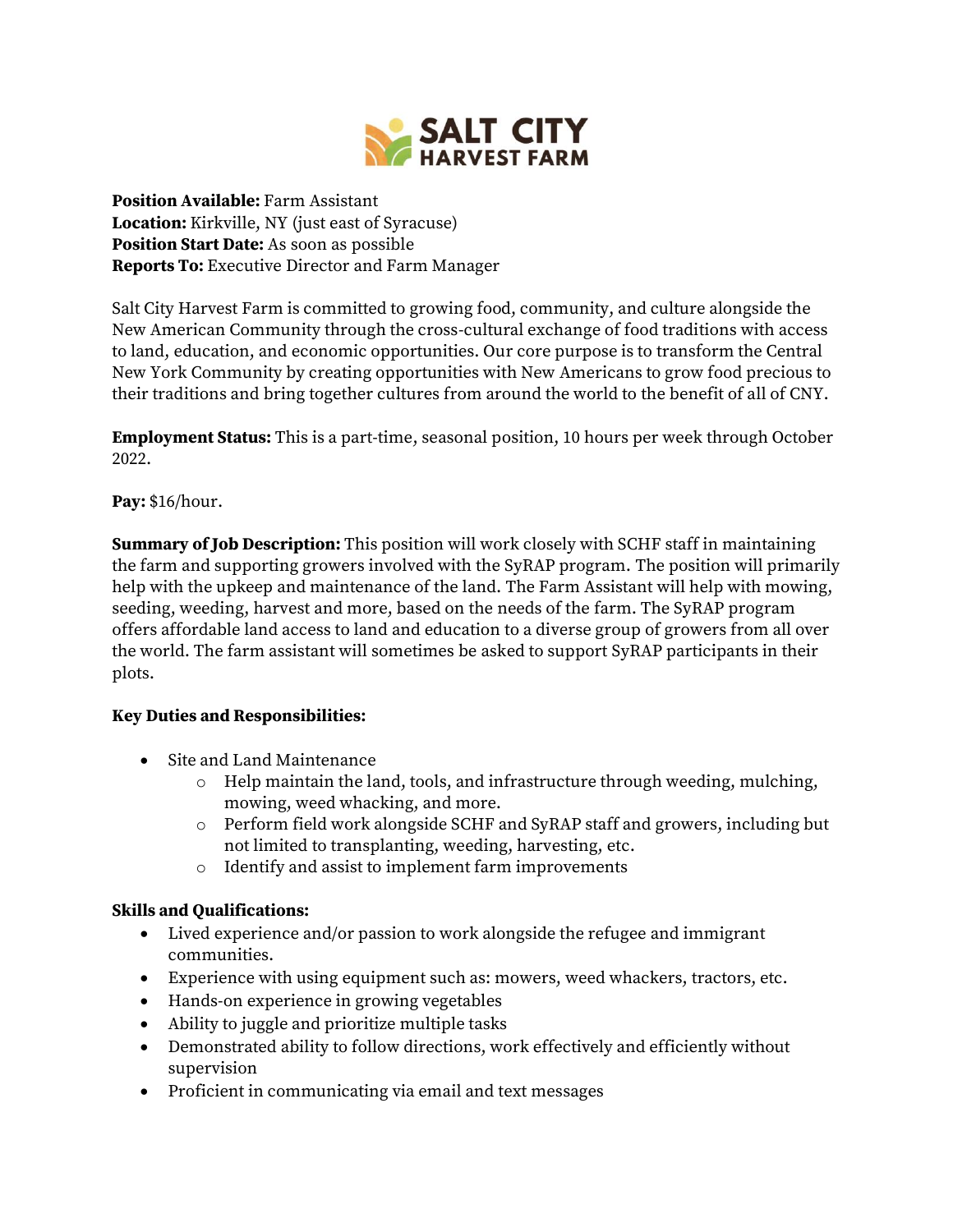

**Position Available:** Farm Assistant **Location:** Kirkville, NY (just east of Syracuse) **Position Start Date:** As soon as possible **Reports To:** Executive Director and Farm Manager

Salt City Harvest Farm is committed to growing food, community, and culture alongside the New American Community through the cross-cultural exchange of food traditions with access to land, education, and economic opportunities. Our core purpose is to transform the Central New York Community by creating opportunities with New Americans to grow food precious to their traditions and bring together cultures from around the world to the benefit of all of CNY.

**Employment Status:** This is a part-time, seasonal position, 10 hours per week through October 2022.

**Pay:** \$16/hour.

**Summary of Job Description:** This position will work closely with SCHF staff in maintaining the farm and supporting growers involved with the SyRAP program. The position will primarily help with the upkeep and maintenance of the land. The Farm Assistant will help with mowing, seeding, weeding, harvest and more, based on the needs of the farm. The SyRAP program offers affordable land access to land and education to a diverse group of growers from all over the world. The farm assistant will sometimes be asked to support SyRAP participants in their plots.

## **Key Duties and Responsibilities:**

- Site and Land Maintenance
	- o Help maintain the land, tools, and infrastructure through weeding, mulching, mowing, weed whacking, and more.
	- o Perform field work alongside SCHF and SyRAP staff and growers, including but not limited to transplanting, weeding, harvesting, etc.
	- o Identify and assist to implement farm improvements

## **Skills and Qualifications:**

- Lived experience and/or passion to work alongside the refugee and immigrant communities.
- Experience with using equipment such as: mowers, weed whackers, tractors, etc.
- Hands-on experience in growing vegetables
- Ability to juggle and prioritize multiple tasks
- Demonstrated ability to follow directions, work effectively and efficiently without supervision
- Proficient in communicating via email and text messages